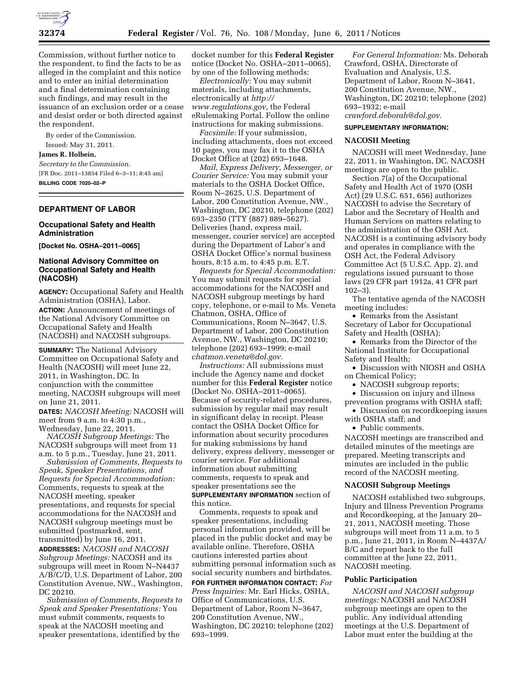

Commission, without further notice to the respondent, to find the facts to be as alleged in the complaint and this notice and to enter an initial determination and a final determination containing such findings, and may result in the issuance of an exclusion order or a cease and desist order or both directed against the respondent.

By order of the Commission. Issued: May 31, 2011.

**James R. Holbein,** 

*Secretary to the Commission.*  [FR Doc. 2011–13854 Filed 6–3–11; 8:45 am] **BILLING CODE 7020–02–P** 

### **DEPARTMENT OF LABOR**

### **Occupational Safety and Health Administration**

**[Docket No. OSHA–2011–0065]** 

# **National Advisory Committee on Occupational Safety and Health (NACOSH)**

**AGENCY:** Occupational Safety and Health Administration (OSHA), Labor. **ACTION:** Announcement of meetings of the National Advisory Committee on Occupational Safety and Health (NACOSH) and NACOSH subgroups.

**SUMMARY:** The National Advisory Committee on Occupational Safety and Health (NACOSH) will meet June 22, 2011, in Washington, DC. In conjunction with the committee meeting, NACOSH subgroups will meet on June 21, 2011.

**DATES:** *NACOSH Meeting:* NACOSH will meet from 9 a.m. to 4:30 p.m., Wednesday, June 22, 2011.

*NACOSH Subgroup Meetings:* The NACOSH subgroups will meet from 11 a.m. to 5 p.m., Tuesday, June 21, 2011.

*Submission of Comments, Requests to Speak, Speaker Presentations, and Requests for Special Accommodation:*  Comments, requests to speak at the NACOSH meeting, speaker presentations, and requests for special accommodations for the NACOSH and NACOSH subgroup meetings must be submitted (postmarked, sent, transmitted) by June 16, 2011. **ADDRESSES:** *NACOSH and NACOSH Subgroup Meetings:* NACOSH and its subgroups will meet in Room N–N4437 A/B/C/D, U.S. Department of Labor, 200 Constitution Avenue, NW., Washington, DC 20210.

*Submission of Comments, Requests to Speak and Speaker Presentations:* You must submit comments, requests to speak at the NACOSH meeting and speaker presentations, identified by the

docket number for this **Federal Register**  notice (Docket No. OSHA–2011–0065), by one of the following methods:

*Electronically:* You may submit materials, including attachments, electronically at *[http://](http://www.regulations.gov) [www.regulations.gov,](http://www.regulations.gov)* the Federal eRulemaking Portal. Follow the online instructions for making submissions.

*Facsimile:* If your submission, including attachments, does not exceed 10 pages, you may fax it to the OSHA Docket Office at (202) 693–1648.

*Mail, Express Delivery, Messenger, or Courier Service:* You may submit your materials to the OSHA Docket Office, Room N–2625, U.S. Department of Labor, 200 Constitution Avenue, NW., Washington, DC 20210, telephone (202) 693–2350 (TTY (887) 889–5627). Deliveries (hand, express mail, messenger, courier service) are accepted during the Department of Labor's and OSHA Docket Office's normal business hours, 8:15 a.m. to 4:45 p.m. E.T.

*Requests for Special Accommodation:*  You may submit requests for special accommodations for the NACOSH and NACOSH subgroup meetings by hard copy, telephone, or e-mail to Ms. Veneta Chatmon, OSHA, Office of Communications, Room N–3647, U.S. Department of Labor, 200 Constitution Avenue, NW., Washington, DC 20210; telephone (202) 693–1999; e-mail *[chatmon.veneta@dol.gov.](mailto:chatmon.veneta@dol.gov)* 

*Instructions:* All submissions must include the Agency name and docket number for this **Federal Register** notice (Docket No. OSHA–2011–0065). Because of security-related procedures, submission by regular mail may result in significant delay in receipt. Please contact the OSHA Docket Office for information about security procedures for making submissions by hand delivery, express delivery, messenger or courier service. For additional information about submitting comments, requests to speak and speaker presentations see the **SUPPLEMENTARY INFORMATION** section of this notice.

Comments, requests to speak and speaker presentations, including personal information provided, will be placed in the public docket and may be available online. Therefore, OSHA cautions interested parties about submitting personal information such as social security numbers and birthdates.

**FOR FURTHER INFORMATION CONTACT:** *For Press Inquiries:* Mr. Earl Hicks, OSHA, Office of Communications, U.S. Department of Labor, Room N–3647, 200 Constitution Avenue, NW., Washington, DC 20210; telephone (202) 693–1999.

*For General Information:* Ms. Deborah Crawford, OSHA, Directorate of Evaluation and Analysis, U.S. Department of Labor, Room N–3641, 200 Constitution Avenue, NW., Washington, DC 20210; telephone (202) 693–1932; e-mail *[crawford.deborah@dol.gov.](mailto:crawford.deborah@dol.gov)* 

### **SUPPLEMENTARY INFORMATION:**

# **NACOSH Meeting**

NACOSH will meet Wednesday, June 22, 2011, in Washington, DC. NACOSH meetings are open to the public.

Section 7(a) of the Occupational Safety and Health Act of 1970 (OSH Act) (29 U.S.C. 651, 656) authorizes NACOSH to advise the Secretary of Labor and the Secretary of Health and Human Services on matters relating to the administration of the OSH Act. NACOSH is a continuing advisory body and operates in compliance with the OSH Act, the Federal Advisory Committee Act (5 U.S.C. App. 2), and regulations issued pursuant to those laws (29 CFR part 1912a, 41 CFR part 102–3).

The tentative agenda of the NACOSH meeting includes:

• Remarks from the Assistant Secretary of Labor for Occupational Safety and Health (OSHA);

• Remarks from the Director of the National Institute for Occupational Safety and Health;

• Discussion with NIOSH and OSHA on Chemical Policy;

• NACOSH subgroup reports;

• Discussion on injury and illness prevention programs with OSHA staff;

• Discussion on recordkeeping issues with OSHA staff; and

• Public comments.

NACOSH meetings are transcribed and detailed minutes of the meetings are prepared. Meeting transcripts and minutes are included in the public record of the NACOSH meeting.

#### **NACOSH Subgroup Meetings**

NACOSH established two subgroups, Injury and Illness Prevention Programs and Recordkeeping, at the January 20– 21, 2011, NACOSH meeting. Those subgroups will meet from 11 a.m. to 5 p.m., June 21, 2011, in Room N–4437A/ B/C and report back to the full committee at the June 22, 2011, NACOSH meeting.

### **Public Participation**

*NACOSH and NACOSH subgroup meetings:* NACOSH and NACOSH subgroup meetings are open to the public. Any individual attending meetings at the U.S. Department of Labor must enter the building at the